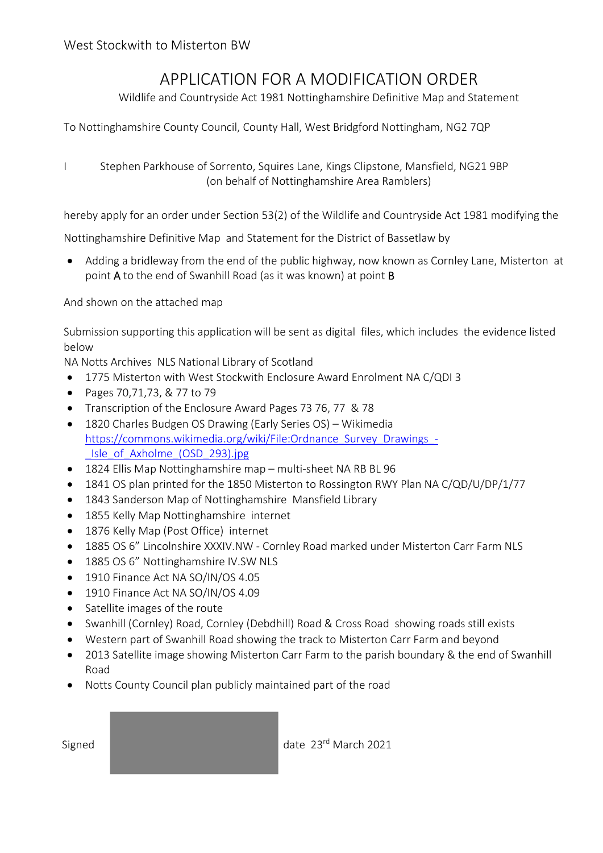## APPLICATION FOR A MODIFICATION ORDER

Wildlife and Countryside Act 1981 Nottinghamshire Definitive Map and Statement

To Nottinghamshire County Council, County Hall, West Bridgford Nottingham, NG2 7QP

I Stephen Parkhouse of Sorrento, Squires Lane, Kings Clipstone, Mansfield, NG21 9BP (on behalf of Nottinghamshire Area Ramblers)

hereby apply for an order under Section 53(2) of the Wildlife and Countryside Act 1981 modifying the

Nottinghamshire Definitive Map and Statement for the District of Bassetlaw by

 Adding a bridleway from the end of the public highway, now known as Cornley Lane, Misterton at point A to the end of Swanhill Road (as it was known) at point B

And shown on the attached map

Submission supporting this application will be sent as digital files, which includes the evidence listed below

NA Notts Archives NLS National Library of Scotland

- 1775 Misterton with West Stockwith Enclosure Award Enrolment NA C/QDI 3
- Pages 70,71,73, & 77 to 79
- Transcription of the Enclosure Award Pages 73 76, 77 & 78
- 1820 Charles Budgen OS Drawing (Early Series OS) Wikimedia https://commons.wikimedia.org/wiki/File:Ordnance Survey Drawings -\_Isle\_of\_Axholme\_(OSD\_293).jpg
- 1824 Ellis Map Nottinghamshire map multi-sheet NA RB BL 96
- 1841 OS plan printed for the 1850 Misterton to Rossington RWY Plan NA C/QD/U/DP/1/77
- 1843 Sanderson Map of Nottinghamshire Mansfield Library
- 1855 Kelly Map Nottinghamshire internet
- 1876 Kelly Map (Post Office) internet
- 1885 OS 6" Lincolnshire XXXIV.NW ‐ Cornley Road marked under Misterton Carr Farm NLS
- 1885 OS 6" Nottinghamshire IV.SW NLS
- 1910 Finance Act NA SO/IN/OS 4.05
- 1910 Finance Act NA SO/IN/OS 4.09
- Satellite images of the route
- Swanhill (Cornley) Road, Cornley (Debdhill) Road & Cross Road showing roads still exists
- Western part of Swanhill Road showing the track to Misterton Carr Farm and beyond
- 2013 Satellite image showing Misterton Carr Farm to the parish boundary & the end of Swanhill Road
- Notts County Council plan publicly maintained part of the road